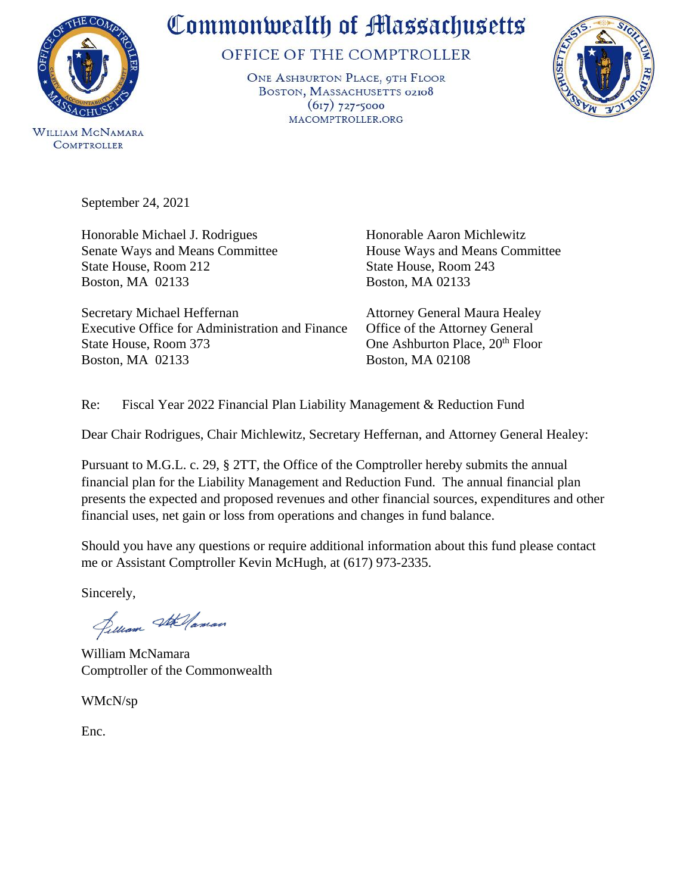

**COMPTROLLER** 

## Commonwealth of Massachusetts

OFFICE OF THE COMPTROLLER

ONE ASHBURTON PLACE, 9TH FLOOR BOSTON, MASSACHUSETTS 02108  $(617)$  727-5000 MACOMPTROLLER.ORG



September 24, 2021

Honorable Michael J. Rodrigues Honorable Aaron Michlewitz Senate Ways and Means Committee House Ways and Means Committee State House, Room 212 State House, Room 243 Boston, MA 02133 Boston, MA 02133

Secretary Michael Heffernan Attorney General Maura Healey Executive Office for Administration and Finance Office of the Attorney General State House, Room 373 One Ashburton Place, 20<sup>th</sup> Floor Boston, MA 02133 Boston, MA 02108

Re: Fiscal Year 2022 Financial Plan Liability Management & Reduction Fund

Dear Chair Rodrigues, Chair Michlewitz, Secretary Heffernan, and Attorney General Healey:

Pursuant to M.G.L. c. 29, § 2TT, the Office of the Comptroller hereby submits the annual financial plan for the Liability Management and Reduction Fund. The annual financial plan presents the expected and proposed revenues and other financial sources, expenditures and other financial uses, net gain or loss from operations and changes in fund balance.

Should you have any questions or require additional information about this fund please contact me or Assistant Comptroller Kevin McHugh, at (617) 973-2335.

Sincerely,

Jelliam Stellaman

William McNamara Comptroller of the Commonwealth

WMcN/sp

Enc.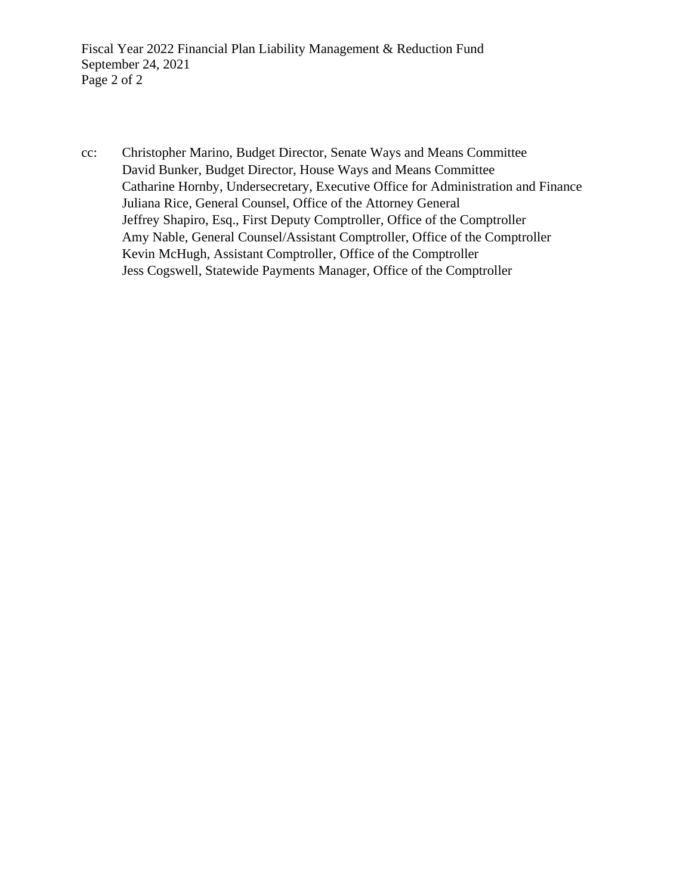Fiscal Year 2022 Financial Plan Liability Management & Reduction Fund September 24, 2021 Page 2 of 2

cc: Christopher Marino, Budget Director, Senate Ways and Means Committee David Bunker, Budget Director, House Ways and Means Committee Catharine Hornby, Undersecretary, Executive Office for Administration and Finance Juliana Rice, General Counsel, Office of the Attorney General Jeffrey Shapiro, Esq., First Deputy Comptroller, Office of the Comptroller Amy Nable, General Counsel/Assistant Comptroller, Office of the Comptroller Kevin McHugh, Assistant Comptroller, Office of the Comptroller Jess Cogswell, Statewide Payments Manager, Office of the Comptroller